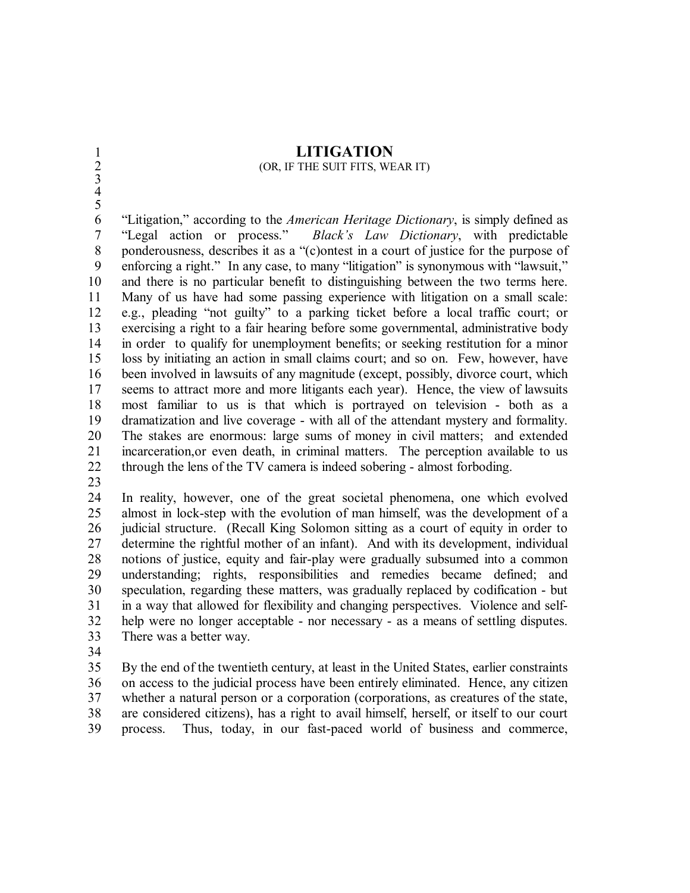## **LITIGATION**

## (OR, IF THE SUIT FITS, WEAR IT)

 "Litigation," according to the *American Heritage Dictionary*, is simply defined as "Legal action or process." *Black's Law Dictionary*, with predictable ponderousness, describes it as a "(c)ontest in a court of justice for the purpose of enforcing a right." In any case, to many "litigation" is synonymous with "lawsuit," and there is no particular benefit to distinguishing between the two terms here. Many of us have had some passing experience with litigation on a small scale: e.g., pleading "not guilty" to a parking ticket before a local traffic court; or exercising a right to a fair hearing before some governmental, administrative body in order to qualify for unemployment benefits; or seeking restitution for a minor loss by initiating an action in small claims court; and so on. Few, however, have been involved in lawsuits of any magnitude (except, possibly, divorce court, which seems to attract more and more litigants each year). Hence, the view of lawsuits most familiar to us is that which is portrayed on television both as a dramatization and live coverage with all of the attendant mystery and formality. The stakes are enormous: large sums of money in civil matters; and extended incarceration,or even death, in criminal matters. The perception available to us 22 through the lens of the TV camera is indeed sobering - almost forboding.

 In reality, however, one of the great societal phenomena, one which evolved 25 almost in lock-step with the evolution of man himself, was the development of a 26 judicial structure. (Recall King Solomon sitting as a court of equity in order to 27 determine the rightful mother of an infant). And with its development, individual<br>28 notions of justice, equity and fair-play were gradually subsumed into a common notions of justice, equity and fair-play were gradually subsumed into a common understanding; rights, responsibilities and remedies became defined; and speculation, regarding these matters, was gradually replaced by codification but in a way that allowed for flexibility and changing perspectives. Violence and self 32 help were no longer acceptable - nor necessary - as a means of settling disputes. There was a better way.

35 By the end of the twentieth century, at least in the United States, earlier constraints<br>36 on access to the judicial process have been entirely eliminated. Hence, any citizen on access to the judicial process have been entirely eliminated. Hence, any citizen whether a natural person or a corporation (corporations, as creatures of the state, are considered citizens), has a right to avail himself, herself, or itself to our court 39 process. Thus, today, in our fast-paced world of business and commerce,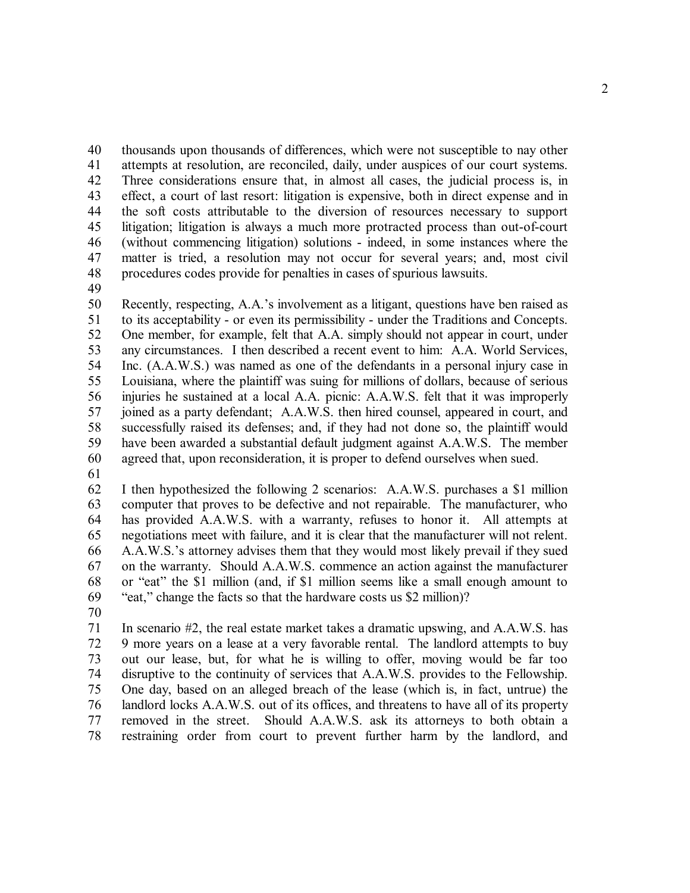thousands upon thousands of differences, which were not susceptible to nay other attempts at resolution, are reconciled, daily, under auspices of our court systems. Three considerations ensure that, in almost all cases, the judicial process is, in effect, a court of last resort: litigation is expensive, both in direct expense and in the soft costs attributable to the diversion of resources necessary to support 45 litigation; litigation is always a much more protracted process than out-of-court (without commencing litigation) solutions indeed, in some instances where the matter is tried, a resolution may not occur for several years; and, most civil procedures codes provide for penalties in cases of spurious lawsuits.

 Recently, respecting, A.A.'s involvement as a litigant, questions have ben raised as to its acceptability or even its permissibility under the Traditions and Concepts. One member, for example, felt that A.A. simply should not appear in court, under any circumstances. I then described a recent event to him: A.A. World Services, Inc. (A.A.W.S.) was named as one of the defendants in a personal injury case in Louisiana, where the plaintiff was suing for millions of dollars, because of serious 56 injuries he sustained at a local A.A. picnic: A.A.W.S. felt that it was improperly joined as a party defendant; A.A.W.S. then hired counsel, appeared in court, and joined as a party defendant; A.A.W.S. then hired counsel, appeared in court, and successfully raised its defenses; and, if they had not done so, the plaintiff would have been awarded a substantial default judgment against A.A.W.S. The member agreed that, upon reconsideration, it is proper to defend ourselves when sued.

 I then hypothesized the following 2 scenarios: A.A.W.S. purchases a \$1 million computer that proves to be defective and not repairable. The manufacturer, who has provided A.A.W.S. with a warranty, refuses to honor it. All attempts at negotiations meet with failure, and it is clear that the manufacturer will not relent. A.A.W.S.'s attorney advises them that they would most likely prevail if they sued on the warranty. Should A.A.W.S. commence an action against the manufacturer or "eat" the \$1 million (and, if \$1 million seems like a small enough amount to "eat," change the facts so that the hardware costs us \$2 million)?

 In scenario #2, the real estate market takes a dramatic upswing, and A.A.W.S. has 9 more years on a lease at a very favorable rental. The landlord attempts to buy out our lease, but, for what he is willing to offer, moving would be far too disruptive to the continuity of services that A.A.W.S. provides to the Fellowship. One day, based on an alleged breach of the lease (which is, in fact, untrue) the landlord locks A.A.W.S. out of its offices, and threatens to have all of its property removed in the street. Should A.A.W.S. ask its attorneys to both obtain a restraining order from court to prevent further harm by the landlord, and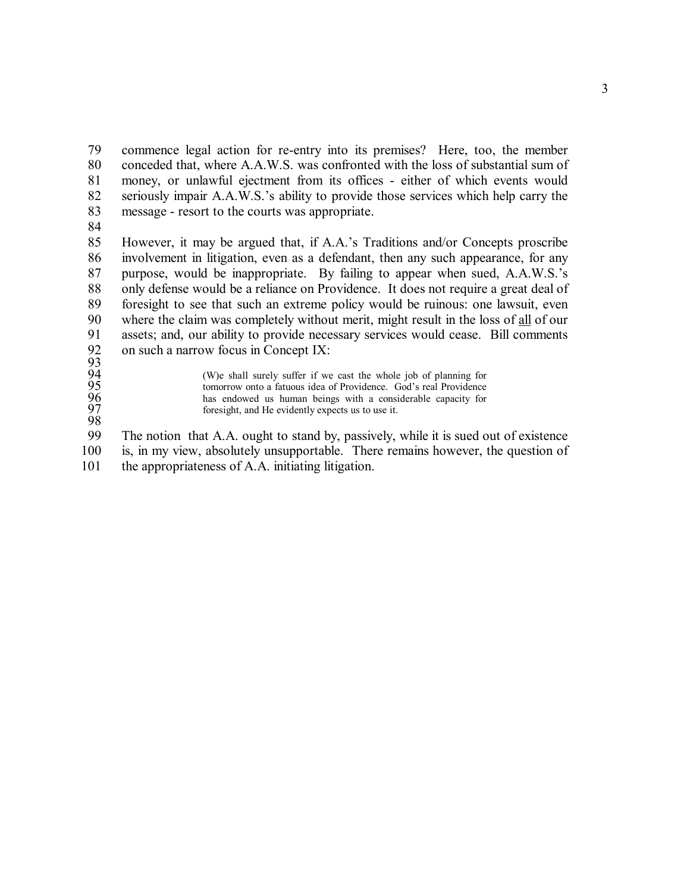79 commence legal action for re-entry into its premises? Here, too, the member conceded that, where A.A.W.S. was confronted with the loss of substantial sum of 81 money, or unlawful ejectment from its offices - either of which events would seriously impair A.A.W.S.'s ability to provide those services which help carry the 83 message - resort to the courts was appropriate.

 However, it may be argued that, if A.A.'s Traditions and/or Concepts proscribe involvement in litigation, even as a defendant, then any such appearance, for any purpose, would be inappropriate. By failing to appear when sued, A.A.W.S.'s only defense would be a reliance on Providence. It does not require a great deal of foresight to see that such an extreme policy would be ruinous: one lawsuit, even where the claim was completely without merit, might result in the loss of all of our assets; and, our ability to provide necessary services would cease. Bill comments on such a narrow focus in Concept IX: 93<br>93<br>95<br>95<br>97<br>98

- 
- 
- 

94 (W)e shall surely suffer if we cast the whole job of planning for<br>95 tomorrow onto a fatuous idea of Providence. God's real Providence<br>96 has endowed us human beings with a considerable capacity for<br>97 foresight, and He

The notion that A.A. ought to stand by, passively, while it is sued out of existence is, in my view, absolutely unsupportable. There remains however, the question of the appropriateness of A.A. initiating litigation.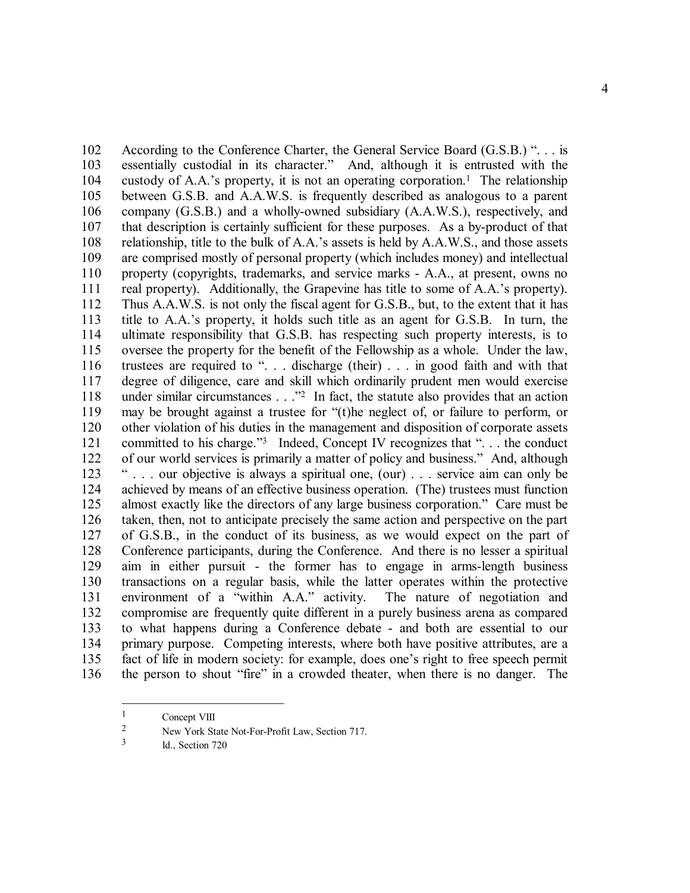102 According to the Conference Charter, the General Service Board (G.S.B.) ". . . is essentially custodial in its character." And, although it is entrusted with the 104 custody of A.A.'s property, it is not an operating corporation.<sup>1</sup> The relationship between G.S.B. and A.A.W.S. is frequently described as analogous to a parent 106 company (G.S.B.) and a wholly-owned subsidiary (A.A.W.S.), respectively, and 107 that description is certainly sufficient for these purposes. As a by-product of that relationship, title to the bulk of A.A.'s assets is held by A.A.W.S., and those assets are comprised mostly of personal property (which includes money) and intellectual property (copyrights, trademarks, and service marks A.A., at present, owns no real property). Additionally, the Grapevine has title to some of A.A.'s property). Thus A.A.W.S. is not only the fiscal agent for G.S.B., but, to the extent that it has title to A.A.'s property, it holds such title as an agent for G.S.B. In turn, the ultimate responsibility that G.S.B. has respecting such property interests, is to oversee the property for the benefit of the Fellowship as a whole. Under the law, 116 trustees are required to "... discharge (their) ... in good faith and with that degree of diligence, care and skill which ordinarily prudent men would exercise 118 under similar circumstances  $\ldots$  <sup>22</sup> In fact, the statute also provides that an action 119 may be brought against a trustee for "(t) he neglect of or failure to perform, or may be brought against a trustee for "(t)he neglect of, or failure to perform, or other violation of his duties in the management and disposition of corporate assets 121 committed to his charge."<sup>3</sup> Indeed, Concept IV recognizes that ". . . the conduct 122 of our world services is primarily a matter of policy and business." And, although 123 "... our objective is always a spiritual one (our)... service aim can only be  $\ldots$  our objective is always a spiritual one, (our) . . . service aim can only be achieved by means of an effective business operation. (The) trustees must function almost exactly like the directors of any large business corporation." Care must be taken, then, not to anticipate precisely the same action and perspective on the part of G.S.B., in the conduct of its business, as we would expect on the part of Conference participants, during the Conference. And there is no lesser a spiritual 129 aim in either pursuit - the former has to engage in arms-length business transactions on a regular basis, while the latter operates within the protective environment of a "within A.A." activity. The nature of negotiation and compromise are frequently quite different in a purely business arena as compared to what happens during a Conference debate and both are essential to our primary purpose. Competing interests, where both have positive attributes, are a fact of life in modern society: for example, does one's right to free speech permit the person to shout "fire" in a crowded theater, when there is no danger. The

 $\frac{1}{2}$  Concept VIII

New York State Not-For-Profit Law, Section 717.

 Id., Section 720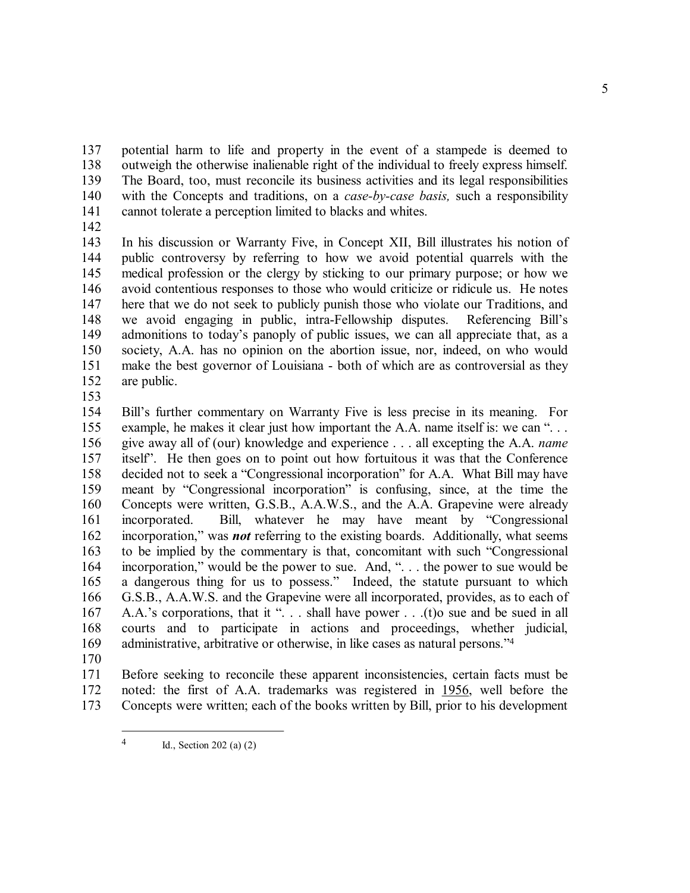potential harm to life and property in the event of a stampede is deemed to outweigh the otherwise inalienable right of the individual to freely express himself. The Board, too, must reconcile its business activities and its legal responsibilities 140 with the Concepts and traditions, on a *case-by-case basis*, such a responsibility cannot tolerate a perception limited to blacks and whites.

 In his discussion or Warranty Five, in Concept XII, Bill illustrates his notion of public controversy by referring to how we avoid potential quarrels with the medical profession or the clergy by sticking to our primary purpose; or how we avoid contentious responses to those who would criticize or ridicule us. He notes here that we do not seek to publicly punish those who violate our Traditions, and we avoid engaging in public, intraFellowship disputes. Referencing Bill's admonitions to today's panoply of public issues, we can all appreciate that, as a society, A.A. has no opinion on the abortion issue, nor, indeed, on who would make the best governor of Louisiana both of which are as controversial as they are public.

 $\frac{153}{154}$ 

Bill's further commentary on Warranty Five is less precise in its meaning. For example, he makes it clear just how important the A.A. name itself is: we can ". . . give away all of (our) knowledge and experience . . . all excepting the A.A. *name* itself". He then goes on to point out how fortuitous it was that the Conference decided not to seek a "Congressional incorporation" for A.A. What Bill may have meant by "Congressional incorporation" is confusing, since, at the time the Concepts were written, G.S.B., A.A.W.S., and the A.A. Grapevine were already incorporated. Bill, whatever he may have meant by "Congressional incorporation," was *not* referring to the existing boards. Additionally, what seems to be implied by the commentary is that, concomitant with such "Congressional incorporation," would be the power to sue. And, ". . . the power to sue would be a dangerous thing for us to possess." Indeed, the statute pursuant to which G.S.B., A.A.W.S. and the Grapevine were all incorporated, provides, as to each of 167 A.A.'s corporations, that it ". . . shall have power . . .(t) o sue and be sued in all courts and to participate in actions and proceedings, whether judicial, 169 administrative, arbitrative or otherwise, in like cases as natural persons."<sup>4</sup>

 Before seeking to reconcile these apparent inconsistencies, certain facts must be noted: the first of A.A. trademarks was registered in 1956, well before the Concepts were written; each of the books written by Bill, prior to his development

 Id., Section 202 (a) (2)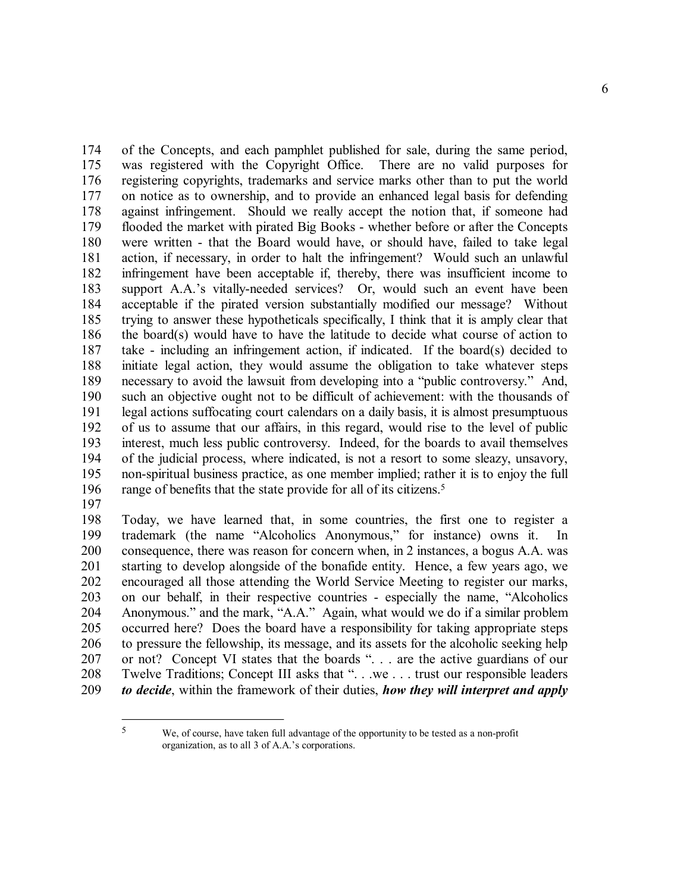of the Concepts, and each pamphlet published for sale, during the same period, was registered with the Copyright Office. There are no valid purposes for registering copyrights, trademarks and service marks other than to put the world on notice as to ownership, and to provide an enhanced legal basis for defending against infringement. Should we really accept the notion that, if someone had flooded the market with pirated Big Books whether before or after the Concepts 180 were written - that the Board would have, or should have, failed to take legal action, if necessary, in order to halt the infringement? Would such an unlawful infringement have been acceptable if, thereby, there was insufficient income to support A.A.'s vitallyneeded services? Or, would such an event have been acceptable if the pirated version substantially modified our message? Without trying to answer these hypotheticals specifically, I think that it is amply clear that the board(s) would have to have the latitude to decide what course of action to 187 take - including an infringement action, if indicated. If the board(s) decided to initiate legal action, they would assume the obligation to take whatever steps necessary to avoid the lawsuit from developing into a "public controversy." And, 190 such an objective ought not to be difficult of achievement: with the thousands of legal actions suffocating court calendars on a daily basis, it is almost presumptuous 191 legal actions suffocating court calendars on a daily basis, it is almost presumptuous<br>192 of us to assume that our affairs, in this regard, would rise to the level of public of us to assume that our affairs, in this regard, would rise to the level of public interest, much less public controversy. Indeed, for the boards to avail themselves 194 of the judicial process, where indicated, is not a resort to some sleazy, unsavory,<br>195 non-spiritual business practice, as one member implied: rather it is to enjoy the full non-spiritual business practice, as one member implied; rather it is to enjoy the full 196 range of benefits that the state provide for all of its citizens.<sup>5</sup>

 Today, we have learned that, in some countries, the first one to register a trademark (the name "Alcoholics Anonymous," for instance) owns it. In consequence, there was reason for concern when, in 2 instances, a bogus A.A. was starting to develop alongside of the bonafide entity. Hence, a few years ago, we encouraged all those attending the World Service Meeting to register our marks, on our behalf, in their respective countries especially the name, "Alcoholics Anonymous." and the mark, "A.A." Again, what would we do if a similar problem occurred here? Does the board have a responsibility for taking appropriate steps to pressure the fellowship, its message, and its assets for the alcoholic seeking help or not? Concept VI states that the boards ". . . are the active guardians of our Twelve Traditions; Concept III asks that ". . .we . . . trust our responsible leaders *to decide*, within the framework of their duties, *how they will interpret and apply*

<sup>&</sup>lt;sup>5</sup> We, of course, have taken full advantage of the opportunity to be tested as a non-profit organization, as to all 3 of A.A.'s corporations.